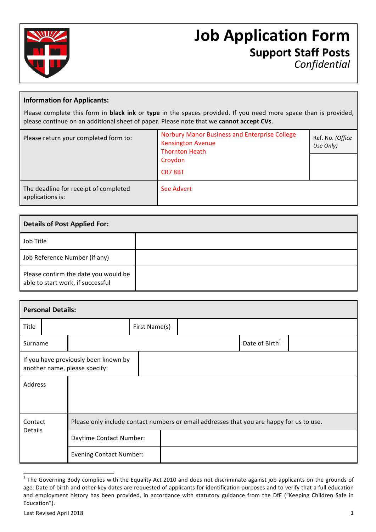

# **Job Application Form Support Staff Posts** *Confidential*

### **Information for Applicants:**

Please complete this form in **black ink** or type in the spaces provided. If you need more space than is provided, please continue on an additional sheet of paper. Please note that we cannot accept CVs.

| Please return your completed form to:                     | <b>Norbury Manor Business and Enterprise College</b><br><b>Kensington Avenue</b><br><b>Thornton Heath</b><br>Croydon<br><b>CR7 8BT</b> | Ref. No. (Office<br>Use Only) |
|-----------------------------------------------------------|----------------------------------------------------------------------------------------------------------------------------------------|-------------------------------|
| The deadline for receipt of completed<br>applications is: | See Advert                                                                                                                             |                               |

| <b>Details of Post Applied For:</b>                                       |  |  |  |  |
|---------------------------------------------------------------------------|--|--|--|--|
| Job Title                                                                 |  |  |  |  |
| Job Reference Number (if any)                                             |  |  |  |  |
| Please confirm the date you would be<br>able to start work, if successful |  |  |  |  |

| <b>Personal Details:</b> |  |                                                                                          |               |  |  |                            |  |  |
|--------------------------|--|------------------------------------------------------------------------------------------|---------------|--|--|----------------------------|--|--|
| Title                    |  |                                                                                          | First Name(s) |  |  |                            |  |  |
| Surname                  |  |                                                                                          |               |  |  | Date of Birth <sup>1</sup> |  |  |
|                          |  | If you have previously been known by<br>another name, please specify:                    |               |  |  |                            |  |  |
| Address                  |  |                                                                                          |               |  |  |                            |  |  |
| Contact                  |  | Please only include contact numbers or email addresses that you are happy for us to use. |               |  |  |                            |  |  |
| Details                  |  | Daytime Contact Number:                                                                  |               |  |  |                            |  |  |
|                          |  | <b>Evening Contact Number:</b>                                                           |               |  |  |                            |  |  |

 $1$  The Governing Body complies with the Equality Act 2010 and does not discriminate against job applicants on the grounds of age. Date of birth and other key dates are requested of applicants for identification purposes and to verify that a full education and employment history has been provided, in accordance with statutory guidance from the DfE ("Keeping Children Safe in Education").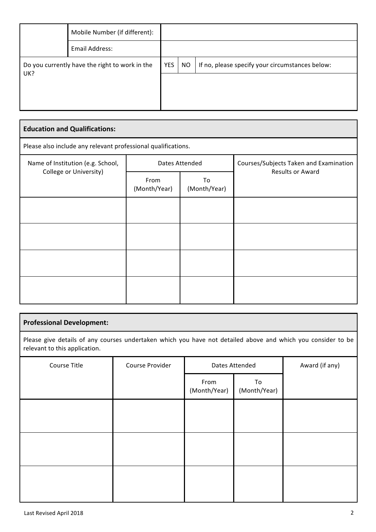|                                                | Mobile Number (if different): |     |           |                                                 |
|------------------------------------------------|-------------------------------|-----|-----------|-------------------------------------------------|
|                                                | Email Address:                |     |           |                                                 |
| Do you currently have the right to work in the |                               | YES | <b>NO</b> | If no, please specify your circumstances below: |
| UK?                                            |                               |     |           |                                                 |
|                                                |                               |     |           |                                                 |
|                                                |                               |     |           |                                                 |

| <b>Education and Qualifications:</b>                          |                      |                    |                                                                   |  |  |  |  |  |
|---------------------------------------------------------------|----------------------|--------------------|-------------------------------------------------------------------|--|--|--|--|--|
| Please also include any relevant professional qualifications. |                      |                    |                                                                   |  |  |  |  |  |
| Name of Institution (e.g. School,<br>College or University)   |                      | Dates Attended     | Courses/Subjects Taken and Examination<br><b>Results or Award</b> |  |  |  |  |  |
|                                                               | From<br>(Month/Year) | To<br>(Month/Year) |                                                                   |  |  |  |  |  |
|                                                               |                      |                    |                                                                   |  |  |  |  |  |
|                                                               |                      |                    |                                                                   |  |  |  |  |  |
|                                                               |                      |                    |                                                                   |  |  |  |  |  |
|                                                               |                      |                    |                                                                   |  |  |  |  |  |

# **Professional Development:**

Please give details of any courses undertaken which you have not detailed above and which you consider to be relevant to this application.

| Course Title | Course Provider | Dates Attended       |                    | Award (if any) |
|--------------|-----------------|----------------------|--------------------|----------------|
|              |                 | From<br>(Month/Year) | To<br>(Month/Year) |                |
|              |                 |                      |                    |                |
|              |                 |                      |                    |                |
|              |                 |                      |                    |                |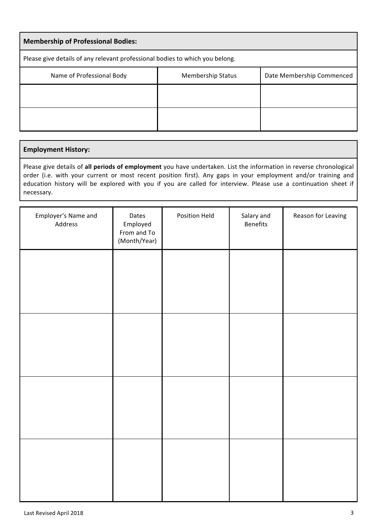| <b>Membership of Professional Bodies:</b>                                          |  |  |  |  |  |  |  |
|------------------------------------------------------------------------------------|--|--|--|--|--|--|--|
| Please give details of any relevant professional bodies to which you belong.       |  |  |  |  |  |  |  |
| Name of Professional Body<br>Date Membership Commenced<br><b>Membership Status</b> |  |  |  |  |  |  |  |
|                                                                                    |  |  |  |  |  |  |  |
|                                                                                    |  |  |  |  |  |  |  |

#### **Employment History:**

Please give details of all periods of employment you have undertaken. List the information in reverse chronological order (i.e. with your current or most recent position first). Any gaps in your employment and/or training and education history will be explored with you if you are called for interview. Please use a continuation sheet if necessary.

| Employer's Name and<br>Address | Dates<br>Employed<br>From and To<br>(Month/Year) | Position Held | Salary and<br>Benefits | Reason for Leaving |
|--------------------------------|--------------------------------------------------|---------------|------------------------|--------------------|
|                                |                                                  |               |                        |                    |
|                                |                                                  |               |                        |                    |
|                                |                                                  |               |                        |                    |
|                                |                                                  |               |                        |                    |
|                                |                                                  |               |                        |                    |
|                                |                                                  |               |                        |                    |
|                                |                                                  |               |                        |                    |
|                                |                                                  |               |                        |                    |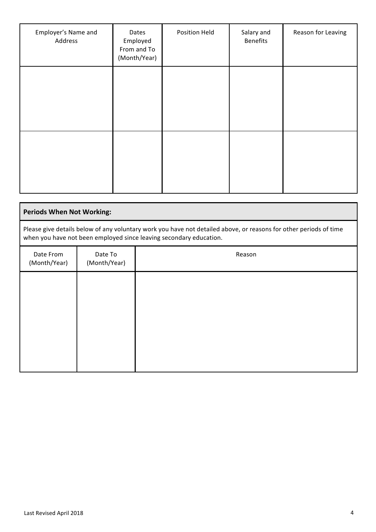| Employer's Name and<br>Address | Dates<br>Employed<br>From and To<br>(Month/Year) | Position Held | Salary and<br><b>Benefits</b> | Reason for Leaving |
|--------------------------------|--------------------------------------------------|---------------|-------------------------------|--------------------|
|                                |                                                  |               |                               |                    |
|                                |                                                  |               |                               |                    |
|                                |                                                  |               |                               |                    |

| <b>Periods When Not Working:</b>                                                                                                                                                        |                         |        |  |  |  |  |  |  |
|-----------------------------------------------------------------------------------------------------------------------------------------------------------------------------------------|-------------------------|--------|--|--|--|--|--|--|
| Please give details below of any voluntary work you have not detailed above, or reasons for other periods of time<br>when you have not been employed since leaving secondary education. |                         |        |  |  |  |  |  |  |
| Date From<br>(Month/Year)                                                                                                                                                               | Date To<br>(Month/Year) | Reason |  |  |  |  |  |  |
|                                                                                                                                                                                         |                         |        |  |  |  |  |  |  |
|                                                                                                                                                                                         |                         |        |  |  |  |  |  |  |
|                                                                                                                                                                                         |                         |        |  |  |  |  |  |  |
|                                                                                                                                                                                         |                         |        |  |  |  |  |  |  |
|                                                                                                                                                                                         |                         |        |  |  |  |  |  |  |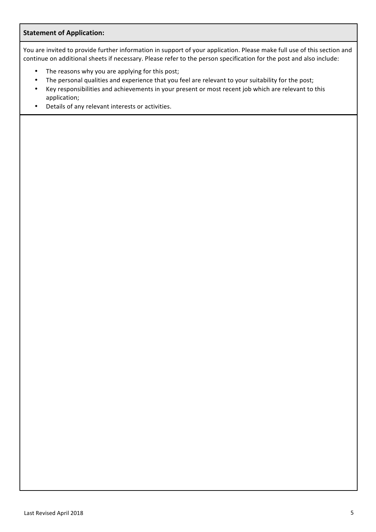## **Statement of Application:**

You are invited to provide further information in support of your application. Please make full use of this section and continue on additional sheets if necessary. Please refer to the person specification for the post and also include:

- The reasons why you are applying for this post;
- The personal qualities and experience that you feel are relevant to your suitability for the post;
- Key responsibilities and achievements in your present or most recent job which are relevant to this application;
- Details of any relevant interests or activities.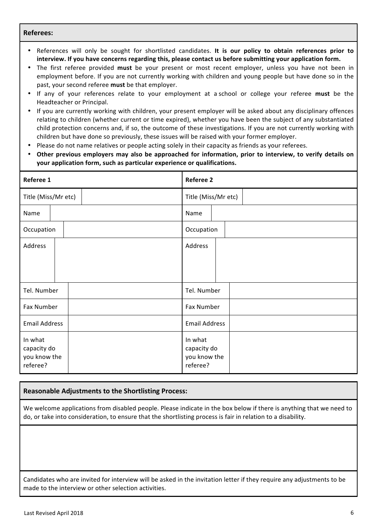#### **Referees:**

- References will only be sought for shortlisted candidates. It is our policy to obtain references prior to interview. If you have concerns regarding this, please contact us before submitting your application form.
- The first referee provided must be your present or most recent employer, unless you have not been in employment before. If you are not currently working with children and young people but have done so in the past, your second referee **must** be that employer.
- If any of your references relate to your employment at a school or college your referee **must** be the Headteacher or Principal.
- If you are currently working with children, your present employer will be asked about any disciplinary offences relating to children (whether current or time expired), whether you have been the subject of any substantiated child protection concerns and, if so, the outcome of these investigations. If you are not currently working with children but have done so previously, these issues will be raised with your former employer.
- Please do not name relatives or people acting solely in their capacity as friends as your referees.
- Other previous employers may also be approached for information, prior to interview, to verify details on **your application form, such as particular experience or qualifications.**

| Referee 1                                          | <b>Referee 2</b>                                   |  |  |  |
|----------------------------------------------------|----------------------------------------------------|--|--|--|
| Title (Miss/Mr etc)                                | Title (Miss/Mr etc)                                |  |  |  |
| Name                                               | Name                                               |  |  |  |
| Occupation                                         | Occupation                                         |  |  |  |
| Address                                            | Address                                            |  |  |  |
|                                                    |                                                    |  |  |  |
|                                                    |                                                    |  |  |  |
| Tel. Number                                        | Tel. Number                                        |  |  |  |
| Fax Number                                         | Fax Number                                         |  |  |  |
| <b>Email Address</b>                               | <b>Email Address</b>                               |  |  |  |
| In what<br>capacity do<br>you know the<br>referee? | In what<br>capacity do<br>you know the<br>referee? |  |  |  |

#### **Reasonable Adjustments to the Shortlisting Process:**

We welcome applications from disabled people. Please indicate in the box below if there is anything that we need to do, or take into consideration, to ensure that the shortlisting process is fair in relation to a disability.

Candidates who are invited for interview will be asked in the invitation letter if they require any adjustments to be made to the interview or other selection activities.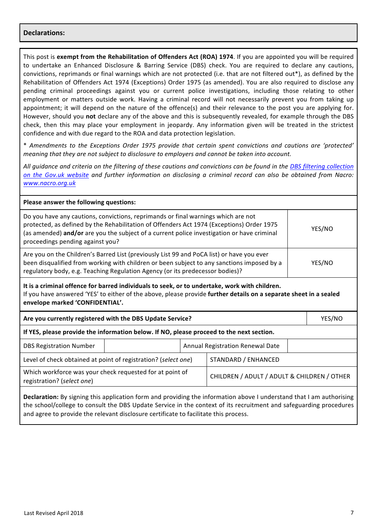#### **Declarations:**

This post is **exempt from the Rehabilitation of Offenders Act (ROA) 1974.** If you are appointed you will be required to undertake an Enhanced Disclosure & Barring Service (DBS) check. You are required to declare any cautions, convictions, reprimands or final warnings which are not protected (i.e. that are not filtered out\*), as defined by the Rehabilitation of Offenders Act 1974 (Exceptions) Order 1975 (as amended). You are also required to disclose any pending criminal proceedings against you or current police investigations, including those relating to other employment or matters outside work. Having a criminal record will not necessarily prevent you from taking up appointment; it will depend on the nature of the offence(s) and their relevance to the post you are applying for. However, should you not declare any of the above and this is subsequently revealed, for example through the DBS check, then this may place your employment in jeopardy. Any information given will be treated in the strictest confidence and with due regard to the ROA and data protection legislation.

\* *Amendments to the Exceptions Order 1975 provide that certain spent convictions and cautions are 'protected' meaning that they are not subject to disclosure to employers and cannot be taken into account.* 

All quidance and criteria on the filtering of these cautions and convictions can be found in the DBS filtering collection on the Gov.uk website and further information on disclosing a criminal record can also be obtained from Nacro: *www.nacro.org.uk*

| Please answer the following questions:                                                                                                                                                                                                                                                                           |                                                                                                                                                                                                                                                                                    |  |                                             |  |        |  |
|------------------------------------------------------------------------------------------------------------------------------------------------------------------------------------------------------------------------------------------------------------------------------------------------------------------|------------------------------------------------------------------------------------------------------------------------------------------------------------------------------------------------------------------------------------------------------------------------------------|--|---------------------------------------------|--|--------|--|
| Do you have any cautions, convictions, reprimands or final warnings which are not<br>protected, as defined by the Rehabilitation of Offenders Act 1974 (Exceptions) Order 1975<br>(as amended) and/or are you the subject of a current police investigation or have criminal<br>proceedings pending against you? |                                                                                                                                                                                                                                                                                    |  |                                             |  | YES/NO |  |
|                                                                                                                                                                                                                                                                                                                  | Are you on the Children's Barred List (previously List 99 and PoCA list) or have you ever<br>been disqualified from working with children or been subject to any sanctions imposed by a<br>YES/NO<br>regulatory body, e.g. Teaching Regulation Agency (or its predecessor bodies)? |  |                                             |  |        |  |
| It is a criminal offence for barred individuals to seek, or to undertake, work with children.<br>If you have answered 'YES' to either of the above, please provide further details on a separate sheet in a sealed<br>envelope marked 'CONFIDENTIAL'.                                                            |                                                                                                                                                                                                                                                                                    |  |                                             |  |        |  |
| Are you currently registered with the DBS Update Service?                                                                                                                                                                                                                                                        |                                                                                                                                                                                                                                                                                    |  |                                             |  | YES/NO |  |
| If YES, please provide the information below. If NO, please proceed to the next section.                                                                                                                                                                                                                         |                                                                                                                                                                                                                                                                                    |  |                                             |  |        |  |
| <b>DBS Registration Number</b>                                                                                                                                                                                                                                                                                   | Annual Registration Renewal Date                                                                                                                                                                                                                                                   |  |                                             |  |        |  |
| STANDARD / ENHANCED<br>Level of check obtained at point of registration? (select one)                                                                                                                                                                                                                            |                                                                                                                                                                                                                                                                                    |  |                                             |  |        |  |
| Which workforce was your check requested for at point of<br>registration? (select one)                                                                                                                                                                                                                           |                                                                                                                                                                                                                                                                                    |  | CHILDREN / ADULT / ADULT & CHILDREN / OTHER |  |        |  |
|                                                                                                                                                                                                                                                                                                                  |                                                                                                                                                                                                                                                                                    |  |                                             |  |        |  |

**Declaration:** By signing this application form and providing the information above I understand that I am authorising the school/college to consult the DBS Update Service in the context of its recruitment and safeguarding procedures and agree to provide the relevant disclosure certificate to facilitate this process.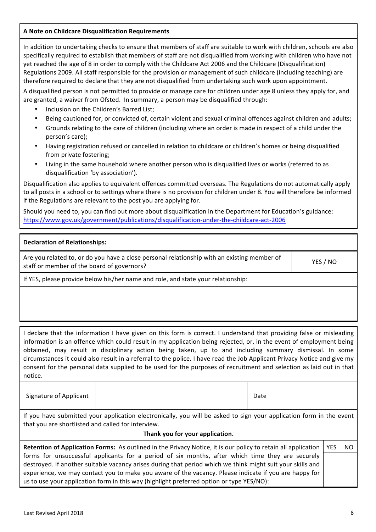# **A Note on Childcare Disqualification Requirements**

In addition to undertaking checks to ensure that members of staff are suitable to work with children, schools are also specifically required to establish that members of staff are not disqualified from working with children who have not yet reached the age of 8 in order to comply with the Childcare Act 2006 and the Childcare (Disqualification) Regulations 2009. All staff responsible for the provision or management of such childcare (including teaching) are therefore required to declare that they are not disqualified from undertaking such work upon appointment.

A disqualified person is not permitted to provide or manage care for children under age 8 unless they apply for, and are granted, a waiver from Ofsted. In summary, a person may be disqualified through:

- Inclusion on the Children's Barred List:
- Being cautioned for, or convicted of, certain violent and sexual criminal offences against children and adults;
- Grounds relating to the care of children (including where an order is made in respect of a child under the person's care);
- Having registration refused or cancelled in relation to childcare or children's homes or being disqualified from private fostering;
- Living in the same household where another person who is disqualified lives or works (referred to as disqualification 'by association').

Disqualification also applies to equivalent offences committed overseas. The Regulations do not automatically apply to all posts in a school or to settings where there is no provision for children under 8. You will therefore be informed if the Regulations are relevant to the post you are applying for.

Should you need to, you can find out more about disqualification in the Department for Education's guidance: https://www.gov.uk/government/publications/disqualification-under-the-childcare-act-2006

| <b>Declaration of Relationships:</b>                                                                                                      |          |
|-------------------------------------------------------------------------------------------------------------------------------------------|----------|
| Are you related to, or do you have a close personal relationship with an existing member of<br>staff or member of the board of governors? | YES / NO |

If YES, please provide below his/her name and role, and state your relationship:

I declare that the information I have given on this form is correct. I understand that providing false or misleading information is an offence which could result in my application being rejected, or, in the event of employment being obtained, may result in disciplinary action being taken, up to and including summary dismissal. In some circumstances it could also result in a referral to the police. I have read the Job Applicant Privacy Notice and give my consent for the personal data supplied to be used for the purposes of recruitment and selection as laid out in that notice.

| Signature of Applicant | Date |
|------------------------|------|
|------------------------|------|

If you have submitted your application electronically, you will be asked to sign your application form in the event that you are shortlisted and called for interview.

#### Thank you for your application.

| Retention of Application Forms: As outlined in the Privacy Notice, it is our policy to retain all application   YES | -NO |
|---------------------------------------------------------------------------------------------------------------------|-----|
| forms for unsuccessful applicants for a period of six months, after which time they are securely                    |     |
| destroyed. If another suitable vacancy arises during that period which we think might suit your skills and          |     |
| experience, we may contact you to make you aware of the vacancy. Please indicate if you are happy for               |     |
| us to use your application form in this way (highlight preferred option or type YES/NO):                            |     |